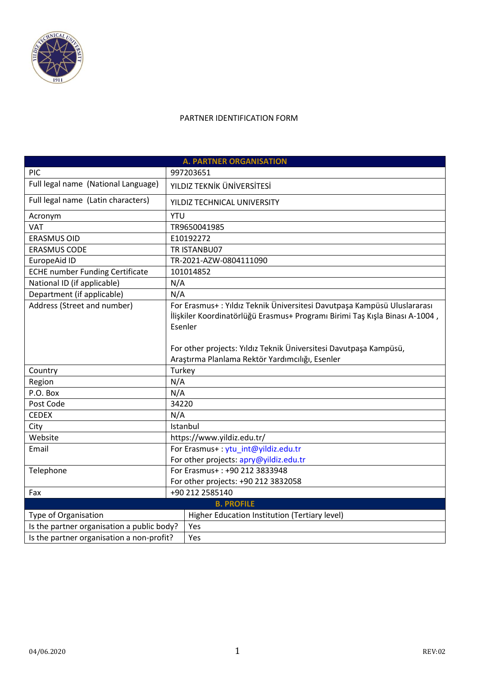

## PARTNER IDENTIFICATION FORM

| <b>A. PARTNER ORGANISATION</b>             |                                                                                                                                                        |  |  |
|--------------------------------------------|--------------------------------------------------------------------------------------------------------------------------------------------------------|--|--|
| PIC                                        | 997203651                                                                                                                                              |  |  |
| Full legal name (National Language)        | YILDIZ TEKNİK ÜNİVERSİTESİ                                                                                                                             |  |  |
| Full legal name (Latin characters)         | YILDIZ TECHNICAL UNIVERSITY                                                                                                                            |  |  |
| Acronym                                    | <b>YTU</b>                                                                                                                                             |  |  |
| VAT                                        | TR9650041985                                                                                                                                           |  |  |
| <b>ERASMUS OID</b>                         | E10192272                                                                                                                                              |  |  |
| <b>ERASMUS CODE</b>                        | TR ISTANBU07                                                                                                                                           |  |  |
| EuropeAid ID                               | TR-2021-AZW-0804111090                                                                                                                                 |  |  |
| <b>ECHE number Funding Certificate</b>     | 101014852                                                                                                                                              |  |  |
| National ID (if applicable)                | N/A                                                                                                                                                    |  |  |
| Department (if applicable)                 | N/A                                                                                                                                                    |  |  |
| Address (Street and number)                | For Erasmus+: Yıldız Teknik Üniversitesi Davutpaşa Kampüsü Uluslararası<br>İlişkiler Koordinatörlüğü Erasmus+ Programı Birimi Taş Kışla Binası A-1004, |  |  |
|                                            | Esenler                                                                                                                                                |  |  |
|                                            | For other projects: Yıldız Teknik Üniversitesi Davutpaşa Kampüsü,                                                                                      |  |  |
|                                            | Araştırma Planlama Rektör Yardımcılığı, Esenler                                                                                                        |  |  |
| Country                                    | Turkey                                                                                                                                                 |  |  |
| Region                                     | N/A                                                                                                                                                    |  |  |
| P.O. Box                                   | N/A                                                                                                                                                    |  |  |
| Post Code                                  | 34220                                                                                                                                                  |  |  |
| <b>CEDEX</b>                               | N/A                                                                                                                                                    |  |  |
| City                                       | Istanbul                                                                                                                                               |  |  |
| Website                                    | https://www.yildiz.edu.tr/                                                                                                                             |  |  |
| Email                                      | For Erasmus+: ytu int@yildiz.edu.tr                                                                                                                    |  |  |
|                                            | For other projects: apry@yildiz.edu.tr                                                                                                                 |  |  |
| Telephone                                  | For Erasmus+: +90 212 3833948                                                                                                                          |  |  |
|                                            | For other projects: +90 212 3832058                                                                                                                    |  |  |
| Fax                                        | +90 212 2585140                                                                                                                                        |  |  |
|                                            | <b>B. PROFILE</b>                                                                                                                                      |  |  |
| Type of Organisation                       | Higher Education Institution (Tertiary level)                                                                                                          |  |  |
| Is the partner organisation a public body? | Yes                                                                                                                                                    |  |  |
| Is the partner organisation a non-profit?  | Yes                                                                                                                                                    |  |  |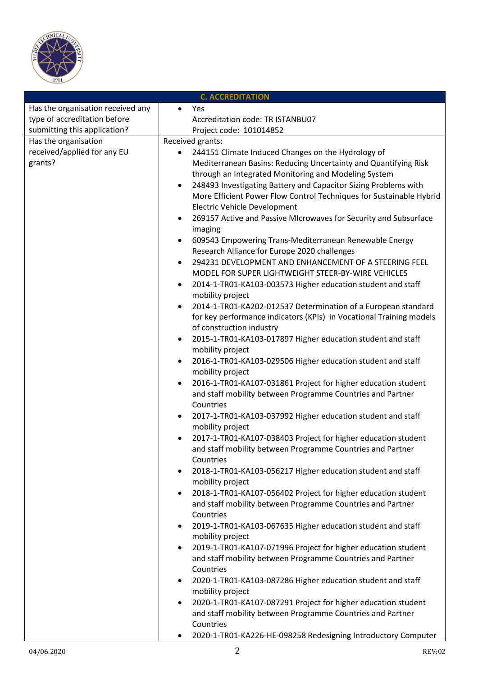

| <b>C. ACCREDITATION</b>           |                                                                               |  |
|-----------------------------------|-------------------------------------------------------------------------------|--|
| Has the organisation received any | Yes<br>$\bullet$                                                              |  |
| type of accreditation before      | Accreditation code: TR ISTANBU07                                              |  |
| submitting this application?      | Project code: 101014852                                                       |  |
| Has the organisation              | Received grants:                                                              |  |
| received/applied for any EU       | 244151 Climate Induced Changes on the Hydrology of                            |  |
| grants?                           | Mediterranean Basins: Reducing Uncertainty and Quantifying Risk               |  |
|                                   | through an Integrated Monitoring and Modeling System                          |  |
|                                   | 248493 Investigating Battery and Capacitor Sizing Problems with<br>$\bullet$  |  |
|                                   | More Efficient Power Flow Control Techniques for Sustainable Hybrid           |  |
|                                   | <b>Electric Vehicle Development</b>                                           |  |
|                                   | 269157 Active and Passive MIcrowaves for Security and Subsurface<br>$\bullet$ |  |
|                                   | imaging                                                                       |  |
|                                   | 609543 Empowering Trans-Mediterranean Renewable Energy<br>$\bullet$           |  |
|                                   | Research Alliance for Europe 2020 challenges                                  |  |
|                                   | 294231 DEVELOPMENT AND ENHANCEMENT OF A STEERING FEEL<br>$\bullet$            |  |
|                                   | MODEL FOR SUPER LIGHTWEIGHT STEER-BY-WIRE VEHICLES                            |  |
|                                   | 2014-1-TR01-KA103-003573 Higher education student and staff<br>$\bullet$      |  |
|                                   | mobility project                                                              |  |
|                                   | 2014-1-TR01-KA202-012537 Determination of a European standard<br>$\bullet$    |  |
|                                   | for key performance indicators (KPIs) in Vocational Training models           |  |
|                                   | of construction industry                                                      |  |
|                                   | 2015-1-TR01-KA103-017897 Higher education student and staff<br>$\bullet$      |  |
|                                   | mobility project                                                              |  |
|                                   | 2016-1-TR01-KA103-029506 Higher education student and staff<br>$\bullet$      |  |
|                                   | mobility project                                                              |  |
|                                   | 2016-1-TR01-KA107-031861 Project for higher education student<br>$\bullet$    |  |
|                                   | and staff mobility between Programme Countries and Partner                    |  |
|                                   | Countries                                                                     |  |
|                                   | 2017-1-TR01-KA103-037992 Higher education student and staff<br>$\bullet$      |  |
|                                   | mobility project                                                              |  |
|                                   | 2017-1-TR01-KA107-038403 Project for higher education student                 |  |
|                                   | and staff mobility between Programme Countries and Partner                    |  |
|                                   | Countries                                                                     |  |
|                                   | 2018-1-TR01-KA103-056217 Higher education student and staff<br>٠              |  |
|                                   | mobility project                                                              |  |
|                                   | 2018-1-TR01-KA107-056402 Project for higher education student<br>$\bullet$    |  |
|                                   | and staff mobility between Programme Countries and Partner                    |  |
|                                   | Countries                                                                     |  |
|                                   | 2019-1-TR01-KA103-067635 Higher education student and staff<br>$\bullet$      |  |
|                                   | mobility project                                                              |  |
|                                   | 2019-1-TR01-KA107-071996 Project for higher education student<br>$\bullet$    |  |
|                                   | and staff mobility between Programme Countries and Partner                    |  |
|                                   | Countries                                                                     |  |
|                                   | 2020-1-TR01-KA103-087286 Higher education student and staff<br>$\bullet$      |  |
|                                   | mobility project                                                              |  |
|                                   | 2020-1-TR01-KA107-087291 Project for higher education student<br>$\bullet$    |  |
|                                   | and staff mobility between Programme Countries and Partner                    |  |
|                                   | Countries                                                                     |  |
|                                   | 2020-1-TR01-KA226-HE-098258 Redesigning Introductory Computer<br>٠            |  |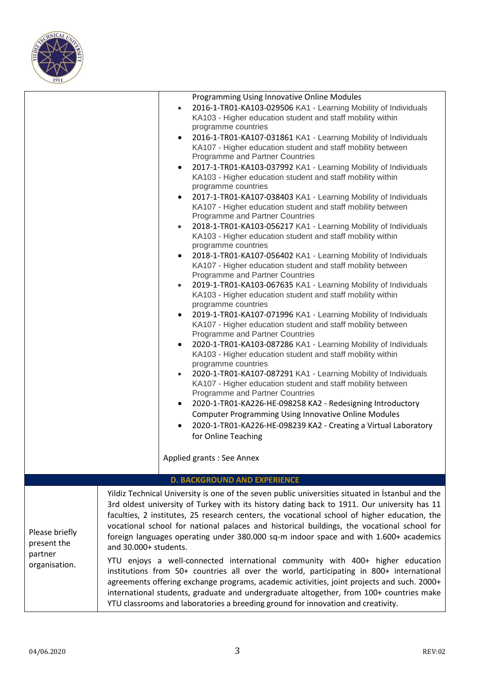

|                                                           | Programming Using Innovative Online Modules<br>2016-1-TR01-KA103-029506 KA1 - Learning Mobility of Individuals<br>$\bullet$<br>KA103 - Higher education student and staff mobility within<br>programme countries<br>2016-1-TR01-KA107-031861 KA1 - Learning Mobility of Individuals<br>$\bullet$<br>KA107 - Higher education student and staff mobility between<br>Programme and Partner Countries<br>2017-1-TR01-KA103-037992 KA1 - Learning Mobility of Individuals<br>$\bullet$<br>KA103 - Higher education student and staff mobility within<br>programme countries<br>2017-1-TR01-KA107-038403 KA1 - Learning Mobility of Individuals<br>$\bullet$<br>KA107 - Higher education student and staff mobility between<br>Programme and Partner Countries<br>2018-1-TR01-KA103-056217 KA1 - Learning Mobility of Individuals<br>$\bullet$<br>KA103 - Higher education student and staff mobility within<br>programme countries<br>2018-1-TR01-KA107-056402 KA1 - Learning Mobility of Individuals<br>$\bullet$<br>KA107 - Higher education student and staff mobility between<br>Programme and Partner Countries<br>2019-1-TR01-KA103-067635 KA1 - Learning Mobility of Individuals<br>$\bullet$<br>KA103 - Higher education student and staff mobility within<br>programme countries<br>2019-1-TR01-KA107-071996 KA1 - Learning Mobility of Individuals<br>$\bullet$<br>KA107 - Higher education student and staff mobility between<br>Programme and Partner Countries<br>2020-1-TR01-KA103-087286 KA1 - Learning Mobility of Individuals<br>$\bullet$<br>KA103 - Higher education student and staff mobility within<br>programme countries<br>2020-1-TR01-KA107-087291 KA1 - Learning Mobility of Individuals<br>$\bullet$<br>KA107 - Higher education student and staff mobility between<br>Programme and Partner Countries<br>2020-1-TR01-KA226-HE-098258 KA2 - Redesigning Introductory<br>$\bullet$ |
|-----------------------------------------------------------|-----------------------------------------------------------------------------------------------------------------------------------------------------------------------------------------------------------------------------------------------------------------------------------------------------------------------------------------------------------------------------------------------------------------------------------------------------------------------------------------------------------------------------------------------------------------------------------------------------------------------------------------------------------------------------------------------------------------------------------------------------------------------------------------------------------------------------------------------------------------------------------------------------------------------------------------------------------------------------------------------------------------------------------------------------------------------------------------------------------------------------------------------------------------------------------------------------------------------------------------------------------------------------------------------------------------------------------------------------------------------------------------------------------------------------------------------------------------------------------------------------------------------------------------------------------------------------------------------------------------------------------------------------------------------------------------------------------------------------------------------------------------------------------------------------------------------------------------------------------------------------------------------------------|
|                                                           | <b>Computer Programming Using Innovative Online Modules</b>                                                                                                                                                                                                                                                                                                                                                                                                                                                                                                                                                                                                                                                                                                                                                                                                                                                                                                                                                                                                                                                                                                                                                                                                                                                                                                                                                                                                                                                                                                                                                                                                                                                                                                                                                                                                                                               |
|                                                           | 2020-1-TR01-KA226-HE-098239 KA2 - Creating a Virtual Laboratory<br>$\bullet$<br>for Online Teaching                                                                                                                                                                                                                                                                                                                                                                                                                                                                                                                                                                                                                                                                                                                                                                                                                                                                                                                                                                                                                                                                                                                                                                                                                                                                                                                                                                                                                                                                                                                                                                                                                                                                                                                                                                                                       |
|                                                           | Applied grants : See Annex                                                                                                                                                                                                                                                                                                                                                                                                                                                                                                                                                                                                                                                                                                                                                                                                                                                                                                                                                                                                                                                                                                                                                                                                                                                                                                                                                                                                                                                                                                                                                                                                                                                                                                                                                                                                                                                                                |
|                                                           | <b>D. BACKGROUND AND EXPERIENCE</b>                                                                                                                                                                                                                                                                                                                                                                                                                                                                                                                                                                                                                                                                                                                                                                                                                                                                                                                                                                                                                                                                                                                                                                                                                                                                                                                                                                                                                                                                                                                                                                                                                                                                                                                                                                                                                                                                       |
| Please briefly<br>present the<br>partner<br>organisation. | Yildiz Technical University is one of the seven public universities situated in Istanbul and the<br>3rd oldest university of Turkey with its history dating back to 1911. Our university has 11<br>faculties, 2 institutes, 25 research centers, the vocational school of higher education, the<br>vocational school for national palaces and historical buildings, the vocational school for<br>foreign languages operating under 380.000 sq-m indoor space and with 1.600+ academics<br>and 30.000+ students.<br>YTU enjoys a well-connected international community with 400+ higher education<br>institutions from 50+ countries all over the world, participating in 800+ international<br>agreements offering exchange programs, academic activities, joint projects and such. 2000+<br>international students, graduate and undergraduate altogether, from 100+ countries make<br>YTU classrooms and laboratories a breeding ground for innovation and creativity.                                                                                                                                                                                                                                                                                                                                                                                                                                                                                                                                                                                                                                                                                                                                                                                                                                                                                                                                 |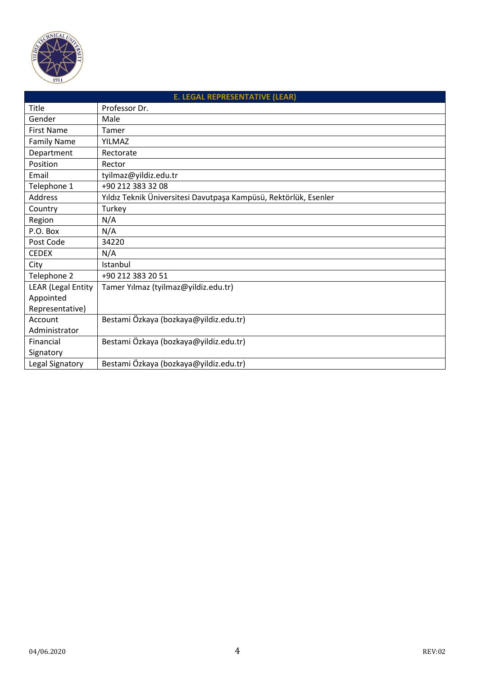

| <b>E. LEGAL REPRESENTATIVE (LEAR)</b> |                                                                  |  |
|---------------------------------------|------------------------------------------------------------------|--|
| Title                                 | Professor Dr.                                                    |  |
| Gender                                | Male                                                             |  |
| <b>First Name</b>                     | Tamer                                                            |  |
| <b>Family Name</b>                    | <b>YILMAZ</b>                                                    |  |
| Department                            | Rectorate                                                        |  |
| Position                              | Rector                                                           |  |
| Email                                 | tyilmaz@yildiz.edu.tr                                            |  |
| Telephone 1                           | +90 212 383 32 08                                                |  |
| Address                               | Yıldız Teknik Üniversitesi Davutpaşa Kampüsü, Rektörlük, Esenler |  |
| Country                               | Turkey                                                           |  |
| Region                                | N/A                                                              |  |
| P.O. Box                              | N/A                                                              |  |
| Post Code                             | 34220                                                            |  |
| <b>CEDEX</b>                          | N/A                                                              |  |
| City                                  | Istanbul                                                         |  |
| Telephone 2                           | +90 212 383 20 51                                                |  |
| LEAR (Legal Entity                    | Tamer Yılmaz (tyilmaz@yildiz.edu.tr)                             |  |
| Appointed                             |                                                                  |  |
| Representative)                       |                                                                  |  |
| Account                               | Bestami Özkaya (bozkaya@yildiz.edu.tr)                           |  |
| Administrator                         |                                                                  |  |
| Financial                             | Bestami Özkaya (bozkaya@yildiz.edu.tr)                           |  |
| Signatory                             |                                                                  |  |
| Legal Signatory                       | Bestami Özkaya (bozkaya@yildiz.edu.tr)                           |  |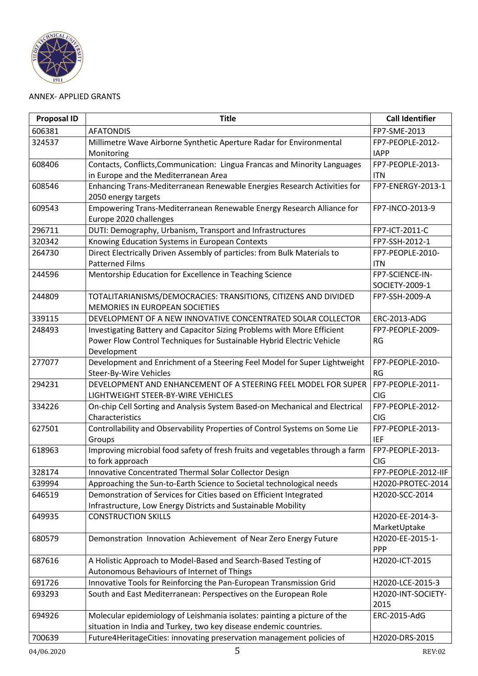

## ANNEX- APPLIED GRANTS

| <b>Proposal ID</b> | <b>Title</b>                                                                  | <b>Call Identifier</b> |
|--------------------|-------------------------------------------------------------------------------|------------------------|
| 606381             | <b>AFATONDIS</b>                                                              | FP7-SME-2013           |
| 324537             | Millimetre Wave Airborne Synthetic Aperture Radar for Environmental           | FP7-PEOPLE-2012-       |
|                    | Monitoring                                                                    | <b>IAPP</b>            |
| 608406             | Contacts, Conflicts, Communication: Lingua Francas and Minority Languages     | FP7-PEOPLE-2013-       |
|                    | in Europe and the Mediterranean Area                                          | <b>ITN</b>             |
| 608546             | Enhancing Trans-Mediterranean Renewable Energies Research Activities for      | FP7-ENERGY-2013-1      |
|                    | 2050 energy targets                                                           |                        |
| 609543             | Empowering Trans-Mediterranean Renewable Energy Research Alliance for         | FP7-INCO-2013-9        |
|                    | Europe 2020 challenges                                                        |                        |
| 296711             | DUTI: Demography, Urbanism, Transport and Infrastructures                     | FP7-ICT-2011-C         |
| 320342             | Knowing Education Systems in European Contexts                                | FP7-SSH-2012-1         |
| 264730             | Direct Electrically Driven Assembly of particles: from Bulk Materials to      | FP7-PEOPLE-2010-       |
|                    | <b>Patterned Films</b>                                                        | <b>ITN</b>             |
| 244596             | Mentorship Education for Excellence in Teaching Science                       | FP7-SCIENCE-IN-        |
|                    |                                                                               | SOCIETY-2009-1         |
| 244809             | TOTALITARIANISMS/DEMOCRACIES: TRANSITIONS, CITIZENS AND DIVIDED               | FP7-SSH-2009-A         |
|                    | MEMORIES IN EUROPEAN SOCIETIES                                                |                        |
| 339115             | DEVELOPMENT OF A NEW INNOVATIVE CONCENTRATED SOLAR COLLECTOR                  | ERC-2013-ADG           |
| 248493             | Investigating Battery and Capacitor Sizing Problems with More Efficient       | FP7-PEOPLE-2009-       |
|                    | Power Flow Control Techniques for Sustainable Hybrid Electric Vehicle         | RG                     |
|                    | Development                                                                   |                        |
| 277077             | Development and Enrichment of a Steering Feel Model for Super Lightweight     | FP7-PEOPLE-2010-       |
|                    | Steer-By-Wire Vehicles                                                        | <b>RG</b>              |
| 294231             | DEVELOPMENT AND ENHANCEMENT OF A STEERING FEEL MODEL FOR SUPER                | FP7-PEOPLE-2011-       |
|                    | LIGHTWEIGHT STEER-BY-WIRE VEHICLES                                            | <b>CIG</b>             |
| 334226             | On-chip Cell Sorting and Analysis System Based-on Mechanical and Electrical   | FP7-PEOPLE-2012-       |
|                    | Characteristics                                                               | <b>CIG</b>             |
| 627501             | Controllability and Observability Properties of Control Systems on Some Lie   | FP7-PEOPLE-2013-       |
|                    | Groups                                                                        | <b>IEF</b>             |
| 618963             | Improving microbial food safety of fresh fruits and vegetables through a farm | FP7-PEOPLE-2013-       |
|                    | to fork approach                                                              | <b>CIG</b>             |
| 328174             | Innovative Concentrated Thermal Solar Collector Design                        | FP7-PEOPLE-2012-IIF    |
| 639994             | Approaching the Sun-to-Earth Science to Societal technological needs          | H2020-PROTEC-2014      |
| 646519             | Demonstration of Services for Cities based on Efficient Integrated            | H2020-SCC-2014         |
|                    | Infrastructure, Low Energy Districts and Sustainable Mobility                 |                        |
| 649935             | <b>CONSTRUCTION SKILLS</b>                                                    | H2020-EE-2014-3-       |
|                    |                                                                               | MarketUptake           |
| 680579             | Demonstration Innovation Achievement of Near Zero Energy Future               | H2020-EE-2015-1-       |
|                    |                                                                               | <b>PPP</b>             |
| 687616             | A Holistic Approach to Model-Based and Search-Based Testing of                | H2020-ICT-2015         |
|                    | Autonomous Behaviours of Internet of Things                                   |                        |
| 691726             | Innovative Tools for Reinforcing the Pan-European Transmission Grid           | H2020-LCE-2015-3       |
| 693293             | South and East Mediterranean: Perspectives on the European Role               | H2020-INT-SOCIETY-     |
|                    |                                                                               | 2015                   |
| 694926             | Molecular epidemiology of Leishmania isolates: painting a picture of the      | ERC-2015-AdG           |
|                    | situation in India and Turkey, two key disease endemic countries.             |                        |
| 700639             | Future4HeritageCities: innovating preservation management policies of         | H2020-DRS-2015         |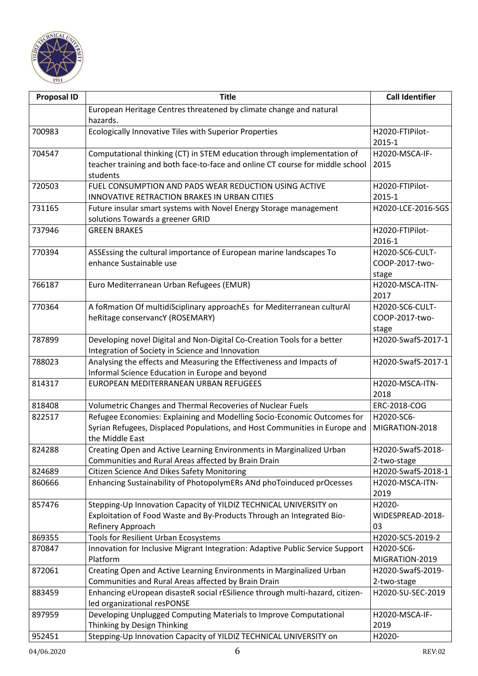

| <b>Proposal ID</b> | <b>Title</b>                                                                               | <b>Call Identifier</b>   |
|--------------------|--------------------------------------------------------------------------------------------|--------------------------|
|                    | European Heritage Centres threatened by climate change and natural                         |                          |
|                    | hazards.                                                                                   |                          |
| 700983             | Ecologically Innovative Tiles with Superior Properties                                     | H2020-FTIPilot-          |
|                    |                                                                                            | 2015-1                   |
| 704547             | Computational thinking (CT) in STEM education through implementation of                    | H2020-MSCA-IF-           |
|                    | teacher training and both face-to-face and online CT course for middle school              | 2015                     |
|                    | students                                                                                   |                          |
| 720503             | FUEL CONSUMPTION AND PADS WEAR REDUCTION USING ACTIVE                                      | H2020-FTIPilot-          |
|                    | <b>INNOVATIVE RETRACTION BRAKES IN URBAN CITIES</b>                                        | 2015-1                   |
| 731165             | Future insular smart systems with Novel Energy Storage management                          | H2020-LCE-2016-SGS       |
|                    | solutions Towards a greener GRID                                                           |                          |
| 737946             | <b>GREEN BRAKES</b>                                                                        | H2020-FTIPilot-          |
|                    |                                                                                            | 2016-1                   |
| 770394             | ASSEssing the cultural importance of European marine landscapes To                         | H2020-SC6-CULT-          |
|                    | enhance Sustainable use                                                                    | COOP-2017-two-           |
| 766187             | Euro Mediterranean Urban Refugees (EMUR)                                                   | stage<br>H2020-MSCA-ITN- |
|                    |                                                                                            | 2017                     |
| 770364             | A foRmation Of multidiSciplinary approachEs for Mediterranean culturAl                     | H2020-SC6-CULT-          |
|                    | heRitage conservancY (ROSEMARY)                                                            | COOP-2017-two-           |
|                    |                                                                                            | stage                    |
| 787899             | Developing novel Digital and Non-Digital Co-Creation Tools for a better                    | H2020-SwafS-2017-1       |
|                    | Integration of Society in Science and Innovation                                           |                          |
| 788023             | Analysing the effects and Measuring the Effectiveness and Impacts of                       | H2020-SwafS-2017-1       |
|                    | Informal Science Education in Europe and beyond                                            |                          |
| 814317             | EUROPEAN MEDITERRANEAN URBAN REFUGEES                                                      | H2020-MSCA-ITN-          |
|                    |                                                                                            | 2018                     |
| 818408             | Volumetric Changes and Thermal Recoveries of Nuclear Fuels                                 | ERC-2018-COG             |
| 822517             | Refugee Economies: Explaining and Modelling Socio-Economic Outcomes for                    | H2020-SC6-               |
|                    | Syrian Refugees, Displaced Populations, and Host Communities in Europe and                 | MIGRATION-2018           |
|                    | the Middle East                                                                            |                          |
| 824288             | Creating Open and Active Learning Environments in Marginalized Urban                       | H2020-SwafS-2018-        |
|                    | Communities and Rural Areas affected by Brain Drain                                        | 2-two-stage              |
| 824689             | Citizen Science And Dikes Safety Monitoring                                                | H2020-SwafS-2018-1       |
| 860666             | Enhancing Sustainability of PhotopolymERs ANd phoToinduced prOcesses                       | H2020-MSCA-ITN-          |
|                    |                                                                                            | 2019                     |
| 857476             | Stepping-Up Innovation Capacity of YILDIZ TECHNICAL UNIVERSITY on                          | H2020-                   |
|                    | Exploitation of Food Waste and By-Products Through an Integrated Bio-<br>Refinery Approach | WIDESPREAD-2018-<br>03   |
| 869355             | Tools for Resilient Urban Ecosystems                                                       | H2020-SC5-2019-2         |
| 870847             | Innovation for Inclusive Migrant Integration: Adaptive Public Service Support              | H2020-SC6-               |
|                    | Platform                                                                                   | MIGRATION-2019           |
| 872061             | Creating Open and Active Learning Environments in Marginalized Urban                       | H2020-SwafS-2019-        |
|                    | Communities and Rural Areas affected by Brain Drain                                        | 2-two-stage              |
| 883459             | Enhancing eUropean disasteR social rESilience through multi-hazard, citizen-               | H2020-SU-SEC-2019        |
|                    | led organizational resPONSE                                                                |                          |
| 897959             | Developing Unplugged Computing Materials to Improve Computational                          | H2020-MSCA-IF-           |
|                    | Thinking by Design Thinking                                                                | 2019                     |
| 952451             | Stepping-Up Innovation Capacity of YILDIZ TECHNICAL UNIVERSITY on                          | H2020-                   |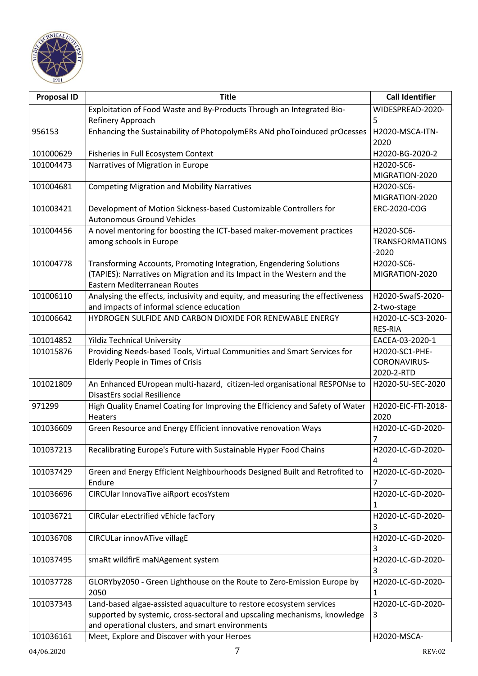

| <b>Proposal ID</b> | <b>Title</b>                                                                                                    | <b>Call Identifier</b> |
|--------------------|-----------------------------------------------------------------------------------------------------------------|------------------------|
|                    | Exploitation of Food Waste and By-Products Through an Integrated Bio-                                           | WIDESPREAD-2020-       |
|                    | Refinery Approach                                                                                               | 5                      |
| 956153             | Enhancing the Sustainability of PhotopolymERs ANd phoToinduced prOcesses                                        | H2020-MSCA-ITN-        |
|                    |                                                                                                                 | 2020                   |
| 101000629          | Fisheries in Full Ecosystem Context                                                                             | H2020-BG-2020-2        |
| 101004473          | Narratives of Migration in Europe                                                                               | H2020-SC6-             |
|                    |                                                                                                                 | MIGRATION-2020         |
| 101004681          | <b>Competing Migration and Mobility Narratives</b>                                                              | H2020-SC6-             |
|                    |                                                                                                                 | MIGRATION-2020         |
| 101003421          | Development of Motion Sickness-based Customizable Controllers for                                               | ERC-2020-COG           |
|                    | <b>Autonomous Ground Vehicles</b>                                                                               |                        |
| 101004456          | A novel mentoring for boosting the ICT-based maker-movement practices                                           | H2020-SC6-             |
|                    | among schools in Europe                                                                                         | <b>TRANSFORMATIONS</b> |
|                    |                                                                                                                 | $-2020$                |
| 101004778          | Transforming Accounts, Promoting Integration, Engendering Solutions                                             | H2020-SC6-             |
|                    | (TAPIES): Narratives on Migration and its Impact in the Western and the                                         | MIGRATION-2020         |
|                    | Eastern Mediterranean Routes                                                                                    |                        |
| 101006110          | Analysing the effects, inclusivity and equity, and measuring the effectiveness                                  | H2020-SwafS-2020-      |
|                    | and impacts of informal science education                                                                       | 2-two-stage            |
| 101006642          | HYDROGEN SULFIDE AND CARBON DIOXIDE FOR RENEWABLE ENERGY                                                        | H2020-LC-SC3-2020-     |
|                    |                                                                                                                 | <b>RES-RIA</b>         |
| 101014852          | <b>Yildiz Technical University</b>                                                                              | EACEA-03-2020-1        |
| 101015876          | Providing Needs-based Tools, Virtual Communities and Smart Services for                                         | H2020-SC1-PHE-         |
|                    | Elderly People in Times of Crisis                                                                               | CORONAVIRUS-           |
|                    |                                                                                                                 | 2020-2-RTD             |
| 101021809          | An Enhanced EUropean multi-hazard, citizen-led organisational RESPONse to<br><b>DisastErs social Resilience</b> | H2020-SU-SEC-2020      |
| 971299             | High Quality Enamel Coating for Improving the Efficiency and Safety of Water                                    | H2020-EIC-FTI-2018-    |
|                    | <b>Heaters</b>                                                                                                  | 2020                   |
| 101036609          | Green Resource and Energy Efficient innovative renovation Ways                                                  | H2020-LC-GD-2020-      |
|                    |                                                                                                                 |                        |
| 101037213          | Recalibrating Europe's Future with Sustainable Hyper Food Chains                                                | H2020-LC-GD-2020-      |
|                    |                                                                                                                 | 4                      |
| 101037429          | Green and Energy Efficient Neighbourhoods Designed Built and Retrofited to                                      | H2020-LC-GD-2020-      |
|                    | Endure                                                                                                          | 7                      |
| 101036696          | CIRCUlar InnovaTive aiRport ecosYstem                                                                           | H2020-LC-GD-2020-      |
|                    |                                                                                                                 | 1                      |
| 101036721          | CIRCular eLectrified vEhicle facTory                                                                            | H2020-LC-GD-2020-      |
|                    |                                                                                                                 | 3                      |
| 101036708          | <b>CIRCULar innovATive villagE</b>                                                                              | H2020-LC-GD-2020-      |
|                    |                                                                                                                 | 3                      |
| 101037495          | smaRt wildfirE maNAgement system                                                                                | H2020-LC-GD-2020-      |
|                    |                                                                                                                 | 3                      |
| 101037728          | GLORYby2050 - Green Lighthouse on the Route to Zero-Emission Europe by                                          | H2020-LC-GD-2020-      |
|                    | 2050                                                                                                            | 1                      |
| 101037343          | Land-based algae-assisted aquaculture to restore ecosystem services                                             | H2020-LC-GD-2020-      |
|                    | supported by systemic, cross-sectoral and upscaling mechanisms, knowledge                                       | 3                      |
|                    | and operational clusters, and smart environments                                                                |                        |
| 101036161          | Meet, Explore and Discover with your Heroes                                                                     | H2020-MSCA-            |